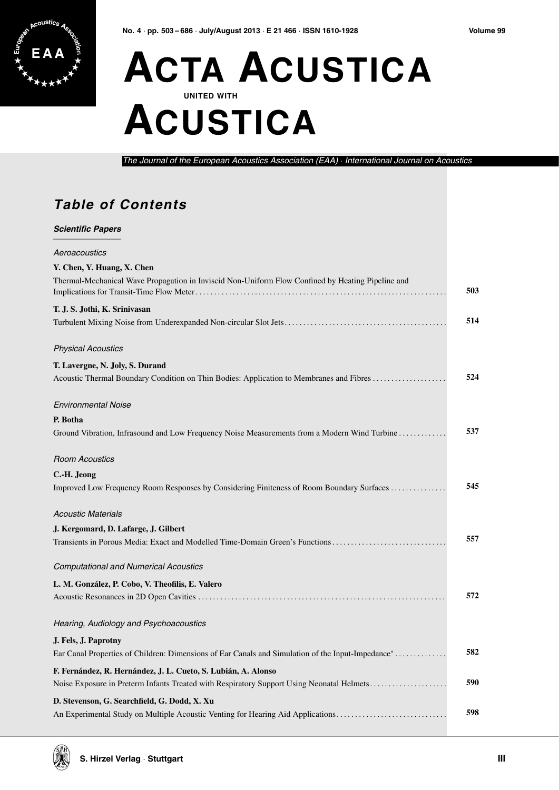## **ACTA ACUSTICA UNITED WITH ACUSTICA**

The Journal of the European Acoustics Association (EAA) · International Journal on Acoustics

## **Table of Contents**

 $\mathbf{a}$ 

| Aeroacoustics<br>Y. Chen, Y. Huang, X. Chen<br>Thermal-Mechanical Wave Propagation in Inviscid Non-Uniform Flow Confined by Heating Pipeline and<br>T. J. S. Jothi, K. Srinivasan<br><b>Physical Acoustics</b><br>T. Lavergne, N. Joly, S. Durand<br>Acoustic Thermal Boundary Condition on Thin Bodies: Application to Membranes and Fibres<br><b>Environmental Noise</b><br>P. Botha<br>Ground Vibration, Infrasound and Low Frequency Noise Measurements from a Modern Wind Turbine<br><b>Room Acoustics</b><br>C.-H. Jeong<br>Improved Low Frequency Room Responses by Considering Finiteness of Room Boundary Surfaces<br><b>Acoustic Materials</b> | 503<br>514<br>524 |
|----------------------------------------------------------------------------------------------------------------------------------------------------------------------------------------------------------------------------------------------------------------------------------------------------------------------------------------------------------------------------------------------------------------------------------------------------------------------------------------------------------------------------------------------------------------------------------------------------------------------------------------------------------|-------------------|
|                                                                                                                                                                                                                                                                                                                                                                                                                                                                                                                                                                                                                                                          |                   |
|                                                                                                                                                                                                                                                                                                                                                                                                                                                                                                                                                                                                                                                          |                   |
|                                                                                                                                                                                                                                                                                                                                                                                                                                                                                                                                                                                                                                                          |                   |
|                                                                                                                                                                                                                                                                                                                                                                                                                                                                                                                                                                                                                                                          |                   |
|                                                                                                                                                                                                                                                                                                                                                                                                                                                                                                                                                                                                                                                          |                   |
|                                                                                                                                                                                                                                                                                                                                                                                                                                                                                                                                                                                                                                                          |                   |
|                                                                                                                                                                                                                                                                                                                                                                                                                                                                                                                                                                                                                                                          |                   |
|                                                                                                                                                                                                                                                                                                                                                                                                                                                                                                                                                                                                                                                          |                   |
|                                                                                                                                                                                                                                                                                                                                                                                                                                                                                                                                                                                                                                                          |                   |
|                                                                                                                                                                                                                                                                                                                                                                                                                                                                                                                                                                                                                                                          |                   |
|                                                                                                                                                                                                                                                                                                                                                                                                                                                                                                                                                                                                                                                          | 537               |
|                                                                                                                                                                                                                                                                                                                                                                                                                                                                                                                                                                                                                                                          |                   |
|                                                                                                                                                                                                                                                                                                                                                                                                                                                                                                                                                                                                                                                          |                   |
|                                                                                                                                                                                                                                                                                                                                                                                                                                                                                                                                                                                                                                                          | 545               |
|                                                                                                                                                                                                                                                                                                                                                                                                                                                                                                                                                                                                                                                          |                   |
| J. Kergomard, D. Lafarge, J. Gilbert                                                                                                                                                                                                                                                                                                                                                                                                                                                                                                                                                                                                                     |                   |
| Transients in Porous Media: Exact and Modelled Time-Domain Green's Functions                                                                                                                                                                                                                                                                                                                                                                                                                                                                                                                                                                             | 557               |
| <b>Computational and Numerical Acoustics</b>                                                                                                                                                                                                                                                                                                                                                                                                                                                                                                                                                                                                             |                   |
| L. M. González, P. Cobo, V. Theofilis, E. Valero                                                                                                                                                                                                                                                                                                                                                                                                                                                                                                                                                                                                         |                   |
|                                                                                                                                                                                                                                                                                                                                                                                                                                                                                                                                                                                                                                                          | 572               |
| Hearing, Audiology and Psychoacoustics                                                                                                                                                                                                                                                                                                                                                                                                                                                                                                                                                                                                                   |                   |
| J. Fels, J. Paprotny                                                                                                                                                                                                                                                                                                                                                                                                                                                                                                                                                                                                                                     |                   |
| Ear Canal Properties of Children: Dimensions of Ear Canals and Simulation of the Input-Impedance <sup>*</sup>                                                                                                                                                                                                                                                                                                                                                                                                                                                                                                                                            | 582               |
| F. Fernández, R. Hernández, J. L. Cueto, S. Lubián, A. Alonso                                                                                                                                                                                                                                                                                                                                                                                                                                                                                                                                                                                            |                   |
| Noise Exposure in Preterm Infants Treated with Respiratory Support Using Neonatal Helmets                                                                                                                                                                                                                                                                                                                                                                                                                                                                                                                                                                | 590               |
| D. Stevenson, G. Searchfield, G. Dodd, X. Xu                                                                                                                                                                                                                                                                                                                                                                                                                                                                                                                                                                                                             |                   |
| An Experimental Study on Multiple Acoustic Venting for Hearing Aid Applications                                                                                                                                                                                                                                                                                                                                                                                                                                                                                                                                                                          | 598               |